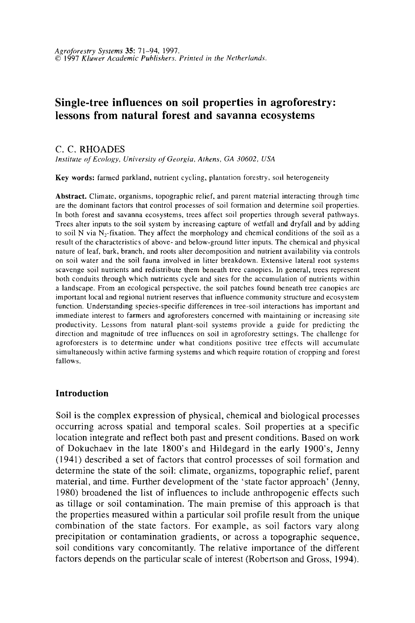# **Single-tree influences on soil properties in agroforestry: lessons from natural forest and savanna ecosystems**

C. C. RHOADES

*Institute of Ecology, University of Georgia, Athens, GA 30602, USA* 

Key words: farmed parkland, nutrient cycling, plantation forestry, soil heterogeneity

Abstract. Climate, organisms, topographic relief, and parent material interacting through time are the dominant factors that control processes of soil formation and determine soil properties. In both forest and savanna ecosystems, trees affect soil properties through several pathways. Trees alter inputs to the soil system by increasing capture of wetfall and dryfall and by adding to soil N via N2-fixation. They affect the morphology and chemical conditions of the soil as a result of the characteristics of above- and below-ground litter inputs. The chemical and physical nature of leaf, bark, branch, and roots alter decomposition and nutrient availability via controls on soil water and the soil fauna involved in litter breakdown. Extensive lateral root systems scavenge soil nutrients and redistribute them beneath tree canopies. In general, trees represent both conduits through which nutrients cycle and sites for the accumulation of nutrients within a landscape. From an ecological perspective, the soil patches found beneath tree canopies are important local and regional nutrient reserves that influence community structure and ecosystem function. Understanding species-specific differences in tree-soil interactions has important and immediate interest to farmers and agroforesters concerned with maintaining or increasing site productivity. Lessons from natural plant-soil systems provide a guide for predicting the direction and magnitude of tree influences on soil in agroforestry settings. The challenge for agroforesters is to determine under what conditions positive tree effects will accumulate simultaneously within active farming systems and which require rotation of cropping and forest fallows.

# **Introduction**

Soil is the complex expression of physical, chemical and biological processes occurring across spatial and temporal scales. Soil properties at a specific location integrate and reflect both past and present conditions. Based on work of Dokuchaev in the late 1800's and Hildegard in the early l 900's, Jenny ( 1941) described a set of factors that control processes of soil formation and determine the state of the soil: climate, organizms, topographic relief, parent material, and time. Further development of the 'state factor approach' (Jenny, 1980) broadened the list of influences to include anthropogenic effects such as tillage or soil contamination. The main premise of this approach is that the properties measured within a particular soil profile result from the unique combination of the state factors. For example, as soil factors vary along precipitation or contamination gradients, or across a topographic sequence, soil conditions vary concomitantly. The relative importance of the different factors depends on the particular scale of interest (Robertson and Gross, 1994).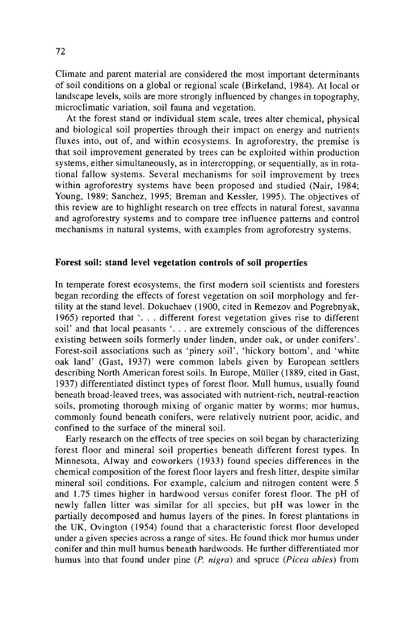Climate and parent material are considered the most important determinants of soil conditions on a global or regional scale (Birkeland, 1984). At local or landscape levels, soils are more strongly influenced by changes in topography, microclimatic variation, soil fauna and vegetation.

At the forest stand or individual stem scale, trees alter chemical, physical and biological soil properties through their impact on energy and nutrients fluxes into, out of, and within ecosystems. In agroforestry, the premise is that soil improvement generated by trees can be exploited within production systems, either simultaneously, as in intercropping, or sequentially, as in rotational fallow systems. Several mechanisms for soil improvement by trees within agroforestry systems have been proposed and studied (Nair, 1984; Young, 1989; Sanchez, 1995; Breman and Kessler, 1995). The objectives of this review are to highlight research on tree effects in natural forest, savanna and agroforestry systems and to compare tree influence patterns and control mechanisms in natural systems, with examples from agroforestry systems.

# **Forest soil: stand level vegetation controls of soil properties**

In temperate forest ecosystems, the first modern soil scientists and foresters began recording the effects of forest vegetation on soil morphology and fertility at the stand level. Dokuchaev ( 1900, cited in Remezov and Pogrebnyak, 1965) reported that '... different forest vegetation gives rise to different soil' and that local peasants '. . . are extremely conscious of the differences existing between soils formerly under linden, under oak, or under conifers'. Forest-soil associations such as 'pinery soil', 'hickory bottom', and 'white oak land' (Gast, 1937) were common labels given by European settlers describing North American forest soils. In Europe, Miiller (1889, cited in Gast, 1937) differentiated distinct types of forest floor. Mull humus, usually found beneath broad-leaved trees, was associated with nutrient-rich, neutral-reaction soils, promoting thorough mixing of organic matter by worms; mor humus, commonly found beneath conifers, were relatively nutrient poor, acidic, and confined to the surface of the mineral soil.

Early research on the effects of tree species on soil began by characterizing forest floor and mineral soil properties beneath different forest types. In Minnesota, Alway and coworkers (1933) found species differences in the chemical composition of the forest floor layers and fresh litter, despite similar mineral soil conditions. For example, calcium and nitrogen content were 5 and 1.75 times higher in hardwood versus conifer forest floor. The pH of newly fallen litter was similar for all species, but pH was lower in the partially decomposed and humus layers of the pines. In forest plantations in the UK, Ovington (1954) found that a characteristic forest floor developed under a given species across a range of sites. He found thick mor humus under conifer and thin mull humus beneath hardwoods. He further differentiated mor humus into that found under pine (P. nigra) and spruce (Picea abies) from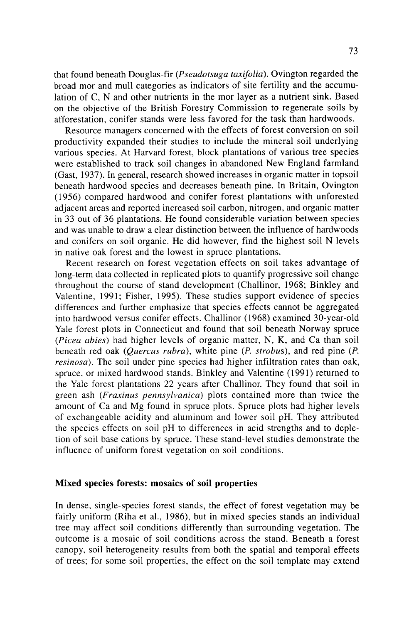that found beneath Douglas-fir *(Pseudotsuga taxifolia).* Ovington regarded the broad mor and mull categories as indicators of site fertility and the accumulation of C, N and other nutrients in the mor layer as a nutrient sink. Based on the objective of the British Forestry Commission to regenerate soils by afforestation, conifer stands were less favored for the task than hardwoods.

Resource managers concerned with the effects of forest conversion on soil productivity expanded their studies to include the mineral soil underlying various species. At Harvard forest, block plantations of various tree species were established to track soil changes in abandoned New England farmland (Gast, 1937). In general, research showed increases in organic matter in topsoil beneath hardwood species and decreases beneath pine. In Britain, Ovington (1956) compared hardwood and conifer forest plantations with unforested adjacent areas and reported increased soil carbon, nitrogen, and organic matter in 33 out of 36 plantations. He found considerable variation between species and was unable to draw a clear distinction between the influence of hardwoods and conifers on soil organic. He did however, find the highest soil N levels in native oak forest and the lowest in spruce plantations.

Recent research on forest vegetation effects on soil takes advantage of long-term data collected in replicated plots to quantify progressive soil change throughout the course of stand development (Challinor, 1968; Binkley and Valentine, 1991; Fisher, 1995). These studies support evidence of species differences and further emphasize that species effects cannot be aggregated into hardwood versus conifer effects. Challinor (1968) examined 30-year-old Yale forest plots in Connecticut and found that soil beneath Norway spruce *(Picea abies)* had higher levels of organic matter, N, K, and Ca than soil beneath red oak *(Quercus rubra),* white pine *(P. strobus),* and red pine *(P. resinosa).* The soil under pine species had higher infiltration rates than oak, spruce, or mixed hardwood stands. Binkley and Valentine (1991) returned to the Yale forest plantations 22 years after Challinor. They found that soil in green ash *(Fraxinus pennsylvanica)* plots contained more than twice the amount of Ca and Mg found in spruce plots. Spruce plots had higher levels of exchangeable acidity and aluminum and lower soil pH. They attributed the species effects on soil pH to differences in acid strengths and to depletion of soil base cations by spruce. These stand-level studies demonstrate the influence of uniform forest vegetation on soil conditions.

# Mixed species forests: mosaics of soil properties

In dense, single-species forest stands, the effect of forest vegetation may be fairly uniform (Riha et al., 1986), but in mixed species stands an individual tree may affect soil conditions differently than surrounding vegetation. The outcome is a mosaic of soil conditions across the stand. Beneath a forest canopy, soil heterogeneity results from both the spatial and temporal effects of trees; for some soil properties, the effect on the soil template may extend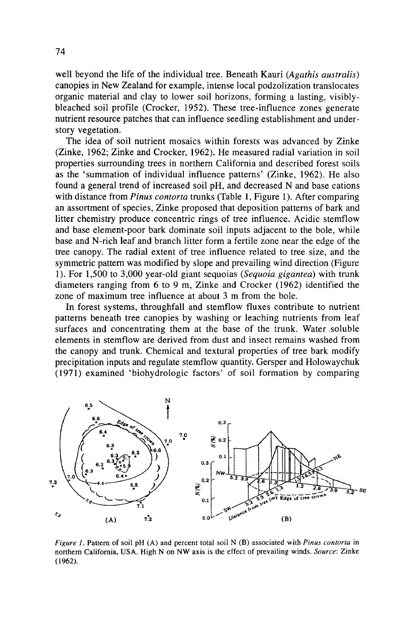well beyond the life of the individual tree. Beneath Kauri *(Agathis australis)*  canopies in New Zealand for example, intense local podzolization translocates organic material and clay to lower soil horizons, forming a lasting, visiblybleached soil profile (Crocker, 1952). These tree-influence zones generate nutrient resource patches that can influence seedling establishment and understory vegetation.

The idea of soil nutrient mosaics within forests was advanced by Zinke (Zinke, 1962; Zinke and Crocker, 1962). He measured radial variation in soil properties surrounding trees in northern California and described forest soils as the 'summation of individual influence patterns' (Zinke, 1962). He also found a general trend of increased soil pH, and decreased N and base cations with distance from *Pinus contorta* trunks (Table 1, Figure 1). After comparing an assortment of species, Zinke proposed that deposition patterns of bark and litter chemistry produce concentric rings of tree influence. Acidic stemflow and base element-poor bark dominate soil inputs adjacent to the bole, while base and N-rich leaf and branch litter form a fertile zone near the edge of the tree canopy. The radial extent of tree influence related to tree size, and the symmetric pattern was modified by slope and prevailing wind direction (Figure 1 ). For 1,500 to 3,000 year-old giant sequoias *(Sequoia gigantea)* with trunk diameters ranging from 6 to 9 m, Zinke and Crocker (1962) identified the zone of maximum tree influence at about 3 m from the bole.

In forest systems, throughfall and stemflow fluxes contribute to nutrient patterns beneath tree canopies by washing or leaching nutrients from leaf surfaces and concentrating them at the base of the trunk. Water soluble elements in stemflow are derived from dust and insect remains washed from the canopy and trunk. Chemical and textural properties of tree bark modify precipitation inputs and regulate stemflow quantity. Gersper and Holowaychuk (1971) examined 'biohydrologic factors' of soil formation by comparing



*Figure 1.* Pattern of soil pH (A) and percent total soil N (B) associated with *Pinus contorta* in northern California, USA. High N on NW axis is the effect of prevailing winds. *Source:* Zinke (1962).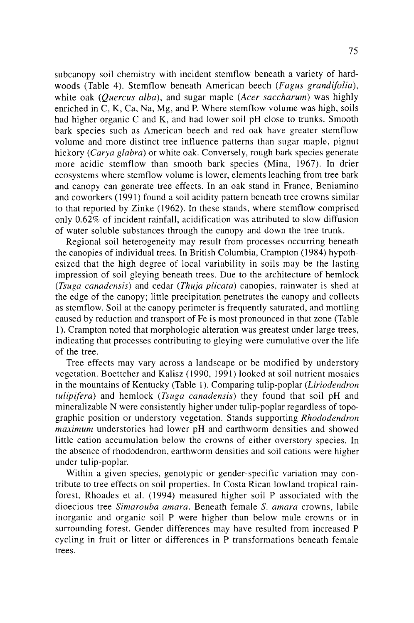subcanopy soil chemistry with incident stemflow beneath a variety of hardwoods (Table 4). Stemflow beneath American beech *(Fagus grandifolia),*  white oak *(Quercus alba),* and sugar maple *(Acer saccharum)* was highly enriched in C, K, Ca, Na, Mg, and P. Where stemflow volume was high, soils had higher organic C and K, and had lower soil pH close to trunks. Smooth bark species such as American beech and red oak have greater stemflow volume and more distinct tree influence patterns than sugar maple, pignut hickory *(Carya glabra)* or white oak. Conversely, rough bark species generate more acidic stemflow than smooth bark species (Mina, 1967). In drier ecosystems where stemflow volume is lower, elements leaching from tree bark and canopy can generate tree effects. In an oak stand in France, Beniamino and coworkers ( 1991) found a soil acidity pattern beneath tree crowns similar to that reported by Zinke (1962). In these stands, where stemflow comprised only 0.62% of incident rainfall, acidification was attributed to slow diffusion of water soluble substances through the canopy and down the tree trunk.

Regional soil heterogeneity may result from processes occurring beneath the canopies of individual trees. In British Columbia, Crampton ( 1984) hypothesized that the high degree of local variability in soils may be the lasting impression of soil gleying beneath trees. Due to the architecture of hemlock *(Tsuga canadensis)* and cedar *(Thuja plicata)* canopies, rainwater is shed at the edge of the canopy; little precipitation penetrates the canopy and collects as stemflow. Soil at the canopy perimeter is frequently saturated, and mottling caused by reduction and transport of Fe is most pronounced in that zone (Table 1 ). Crampton noted that morphologic alteration was greatest under large trees, indicating that processes contributing to gleying were cumulative over the life of the tree.

Tree effects may vary across a landscape or be modified by understory vegetation. Boettcher and Kalisz ( 1990, 1991) looked at soil nutrient mosaics in the mountains of Kentucky (Table 1). Comparing tulip-poplar (Liriodendron *tulipifera)* and hemlock *(Tsuga canadensis)* they found that soil pH and mineralizable N were consistently higher under tulip-poplar regardless of topographic position or understory vegetation. Stands supporting *Rhododendron maximum* understories had lower pH and earthworm densities and showed little cation accumulation below the crowns of either overstory species. In the absence of rhododendron, earthworm densities and soil cations were higher under tulip-poplar.

Within a given species, genotypic or gender-specific variation may contribute to tree effects on soil properties. In Costa Rican lowland tropical rainforest, Rhoades et al. (1994) measured higher soil P associated with the dioecious tree *Simarouba amara.* Beneath female S. *amara* crowns, labile inorganic and organic soil P were higher than below male crowns or in surrounding forest. Gender differences may have resulted from increased P cycling in fruit or litter or differences in P transformations beneath female trees.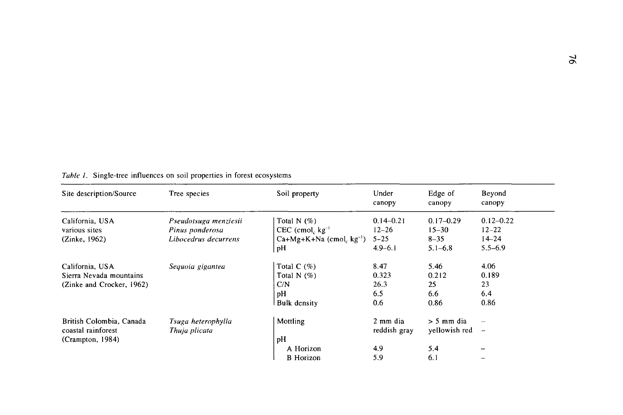| Site description/Source                                                 | Tree species                             | Soil property                                                | Under<br>canopy                     | Edge of<br>canopy                  | Beyond<br>canopy                                     |
|-------------------------------------------------------------------------|------------------------------------------|--------------------------------------------------------------|-------------------------------------|------------------------------------|------------------------------------------------------|
| California, USA<br>various sites                                        | Pseudotsuga menziesii<br>Pinus ponderosa | Total N $(%)$<br>$CEC$ (cmol, $kg^{-1}$                      | $0.14 - 0.21$<br>$12 - 26$          | $0.17 - 0.29$<br>$15 - 30$         | $0.12 - 0.22$<br>$12 - 22$                           |
| (Zinke, 1962)                                                           | Libocedrus decurrens                     | $Ca+Mg+K+Na$ (cmol, $kg^{-1}$ )<br>pН                        | $5 - 25$<br>$4.9 - 6.1$             | $8 - 35$<br>$5.1 - 6.8$            | $14 - 24$<br>$5.5 - 6.9$                             |
| California, USA<br>Sierra Nevada mountains<br>(Zinke and Crocker, 1962) | Sequoia gigantea                         | Total $C$ (%)<br>Total N $(\%)$<br>C/N<br>pH<br>Bulk density | 8.47<br>0.323<br>26.3<br>6.5<br>0.6 | 5.46<br>0.212<br>25<br>6.6<br>0.86 | 4.06<br>0.189<br>23<br>6.4<br>0.86                   |
| British Colombia, Canada<br>coastal rainforest<br>(Crampton, 1984)      | Tsuga heterophylla<br>Thuja plicata      | Mottling<br>рH                                               | 2 mm dia<br>reddish gray            | $> 5$ mm dia<br>yellowish red      | $\overline{\phantom{m}}$<br>$\overline{\phantom{a}}$ |
|                                                                         |                                          | A Horizon<br><b>B</b> Horizon                                | 4.9<br>5.9                          | 5.4<br>6.1                         |                                                      |

*Table I.* Single-tree influences on soil properties in forest ecosystems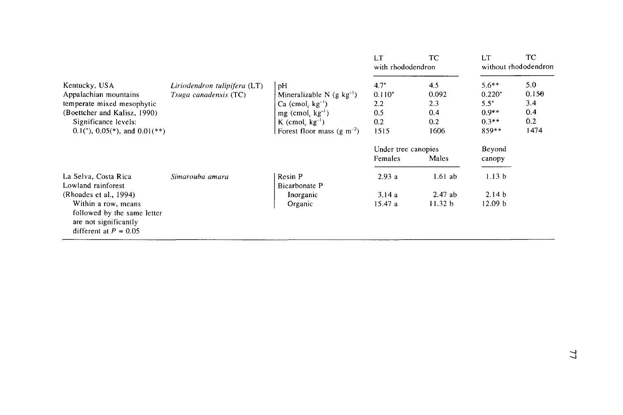|                                                                                                        |                              |                                       | LT<br>with rhododendron | ТC        | LT                 | TС<br>without rhododendron |
|--------------------------------------------------------------------------------------------------------|------------------------------|---------------------------------------|-------------------------|-----------|--------------------|----------------------------|
| Kentucky, USA                                                                                          | Liriodendron tulipifera (LT) | pH                                    | $4.7^*$                 | 4.5       | $5.6**$            | 5.0                        |
| Appalachian mountains                                                                                  | Tsuga canadensis (TC)        | Mineralizable N $(g \text{ kg}^{-1})$ | $0.110^{+}$             | 0.092     | $0.220^{+}$        | 0.150                      |
| temperate mixed mesophytic                                                                             |                              | $Ca$ (cmol, $kg^{-1}$ )               | 2.2                     | 2.3       | $5.5^{+}$          | 3.4                        |
| (Boettcher and Kalisz, 1990)                                                                           |                              | $mg$ (cmol, $kg^{-1}$ )               | 0.5                     | 0.4       | $0.9**$            | 0.4                        |
| Significance levels:                                                                                   |                              | K (cmol <sub>c</sub> $kg^{-1}$ )      | 0.2                     | 0.2       | $0.3**$            | 0.2                        |
| $0.1$ <sup>(*)</sup> , $0.05$ <sup>*</sup> ), and $0.01$ (**)                                          |                              | Forest floor mass $(g m^{-2})$        | 1515<br>1606            |           | 859**              | 1474                       |
|                                                                                                        |                              |                                       | Under tree canopies     |           | Beyond             |                            |
|                                                                                                        |                              |                                       | Females                 | Males     | canopy             |                            |
| La Selva, Costa Rica<br>Lowland rainforest                                                             | Simarouba amara              | Resin P<br>Bicarbonate P              | 2.93a                   | $1.61$ ab | 1.13 <sub>b</sub>  |                            |
| (Rhoades et al., 1994)                                                                                 |                              | Inorganic                             | 3.14a                   | $2.47$ ab | 2.14 <sub>b</sub>  |                            |
| Within a row, means<br>followed by the same letter<br>are not significantly<br>different at $P = 0.05$ |                              | Organic                               | 15.47 a                 | 11.32 b   | 12.09 <sub>b</sub> |                            |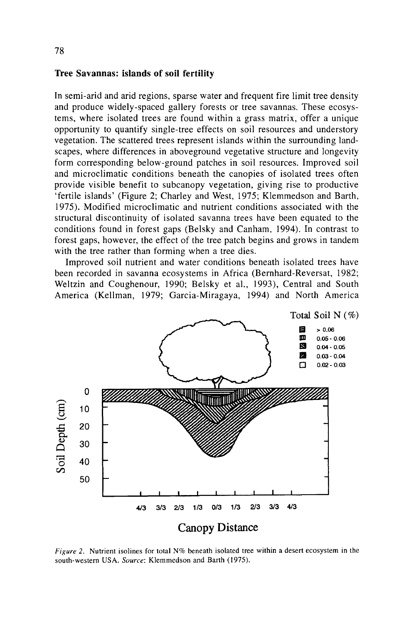#### **Tree Savannas: islands of soil fertility**

In semi-arid and arid regions, sparse water and frequent fire limit tree density and produce widely-spaced gallery forests or tree savannas. These ecosystems, where isolated trees are found within a grass matrix, offer a unique opportunity to quantify single-tree effects on soil resources and understory vegetation. The scattered trees represent islands within the surrounding landscapes, where differences in aboveground vegetative structure and longevity form corresponding below-ground patches in soil resources. Improved soil and microclimatic conditions beneath the canopies of isolated trees often provide visible benefit to subcanopy vegetation, giving rise to productive 'fertile islands' (Figure 2; Charley and West, 1975; Klemmedson and Barth, 1975). Modified microclimatic and nutrient conditions associated with the structural discontinuity of isolated savanna trees have been equated to the conditions found in forest gaps (Belsky and Canham, 1994). In contrast to forest gaps, however, the effect of the tree patch begins and grows in tandem with the tree rather than forming when a tree dies.

Improved soil nutrient and water conditions beneath isolated trees have been recorded in savanna ecosystems in Africa (Bernhard-Reversat, 1982; Weltzin and Coughenour, 1990; Belsky et al., 1993), Central and South America (Kellman, 1979; Garcia-Miragaya, 1994) and North America



*Figure* 2. Nutrient isolines for total N% beneath isolated tree within a desert ecosystem in the south-western USA. *Source:* Klemmedson and Barth (1975).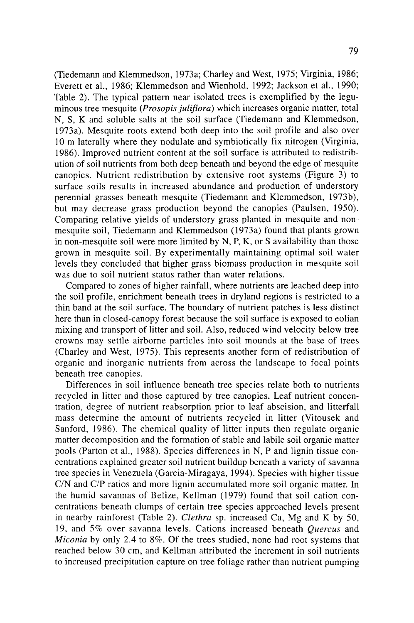(Tiedemann and Klemmedson, 1973a; Charley and West, 1975; Virginia, 1986; Everett et al., 1986; Klemmedson and Wienhold, 1992; Jackson et al., 1990; Table 2). The typical pattern near isolated trees is exemplified by the leguminous tree mesquite *(Prosopis juliflora)* which increases organic matter, total N, S, K and soluble salts at the soil surface (Tiedemann and Klemmedson, l 973a). Mesquite roots extend both deep into the soil profile and also over 10 m laterally where they nodulate and symbiotically fix nitrogen (Virginia, 1986). Improved nutrient content at the soil surface is attributed to redistribution of soil nutrients from both deep beneath and beyond the edge of mesquite canopies. Nutrient redistribution by extensive root systems (Figure 3) to surface soils results in increased abundance and production of understory perennial grasses beneath mesquite (Tiedemann and Klemmedson, 1973b), but may decrease grass production beyond the canopies (Paulsen, 1950). Comparing relative yields of understory grass planted in mesquite and nonmesquite soil, Tiedemann and Klemmedson (1973a) found that plants grown in non-mesquite soil were more limited by N, P, K, or S availability than those grown in mesquite soil. By experimentally maintaining optimal soil water levels they concluded that higher grass biomass production in mesquite soil was due to soil nutrient status rather than water relations.

Compared to zones of higher rainfall, where nutrients are leached deep into the soil profile, enrichment beneath trees in dryland regions is restricted to a thin band at the soil surface. The boundary of nutrient patches is less distinct here than in closed-canopy forest because the soil surface is exposed to eolian mixing and transport of litter and soil. Also, reduced wind velocity below tree crowns may settle airborne particles into soil mounds at the base of trees (Charley and West, 1975). This represents another form of redistribution of organic and inorganic nutrients from across the landscape to focal points beneath tree canopies.

Differences in soil influence beneath tree species relate both to nutrients recycled in litter and those captured by tree canopies. Leaf nutrient concentration, degree of nutrient reabsorption prior to leaf abscision, and litterfall mass determine the amount of nutrients recycled in litter (Vitousek and Sanford, 1986). The chemical quality of litter inputs then regulate organic matter decomposition and the formation of stable and labile soil organic matter pools (Parton et al., 1988). Species differences in N, P and lignin tissue concentrations explained greater soil nutrient buildup beneath a variety of savanna tree species in Venezuela (Garcia-Miragaya, 1994). Species with higher tissue C/N and C/P ratios and more lignin accumulated more soil organic matter. In the humid savannas of Belize, Kellman ( 1979) found that soil cation concentrations beneath clumps of certain tree species approached levels present in nearby rainforest (Table 2). *Clethra* sp. increased Ca, Mg and K by 50, 19, and 5% over savanna levels. Cations increased beneath *Quercus* and *Miconia* by only 2.4 to 8%. Of the trees studied, none had root systems that reached below 30 cm, and Kellman attributed the increment in soil nutrients to increased precipitation capture on tree foliage rather than nutrient pumping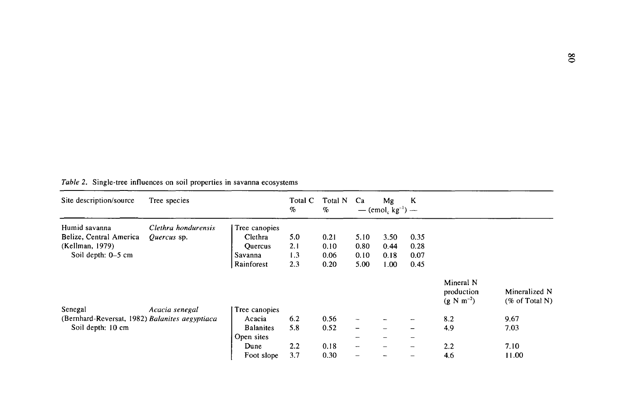| Site description/source                        | Tree species        |                  | Total C<br>% | Total N<br>$\%$ | Ca                       | Mg<br>— $(cmol_c kg^{-1})$ — | K               |                                                   |                                            |
|------------------------------------------------|---------------------|------------------|--------------|-----------------|--------------------------|------------------------------|-----------------|---------------------------------------------------|--------------------------------------------|
| Humid savanna                                  | Clethra hondurensis | Tree canopies    |              |                 |                          |                              |                 |                                                   |                                            |
| Belize, Central America                        | Quercus sp.         | Clethra          | 5.0          | 0.21            | 5.10                     | 3.50                         | 0.35            |                                                   |                                            |
| (Kellman, 1979)                                |                     | <b>Ouercus</b>   | 2.1          | 0.10            | 0.80                     | 0.44                         | 0.28            |                                                   |                                            |
| Soil depth: 0–5 cm                             |                     | Savanna          | 1.3          | 0.06            | 0.10                     | 0.18                         | 0.07            |                                                   |                                            |
|                                                |                     | Rainforest       | 2.3          | 0.20            | 5.00                     | 1.00                         | 0.45            |                                                   |                                            |
|                                                |                     |                  |              |                 |                          |                              |                 | Mineral N<br>production<br>$(g \text{ N m}^{-2})$ | Mineralized N<br>$(\% \text{ of Total N})$ |
| Senegal                                        | Acacia senegal      | Tree canopies    |              |                 |                          |                              |                 |                                                   |                                            |
| (Bernhard-Reversat, 1982) Balanites aegyptiaca |                     | Acacia           | 6.2          | 0.56            | -                        |                              |                 | 8.2                                               | 9.67                                       |
| Soil depth: 10 cm                              |                     | <b>Balanites</b> | 5.8          | 0.52            | $\overline{\phantom{0}}$ |                              | -               | 4.9                                               | 7.03                                       |
|                                                |                     | Open sites       |              |                 | -                        |                              | $\qquad \qquad$ |                                                   |                                            |
|                                                |                     | Dune             | 2.2          | 0.18            | -                        |                              | -               | 2.2                                               | 7.10                                       |
|                                                |                     | Foot slope       | 3.7          | 0.30            |                          |                              |                 | 4.6                                               | 11.00                                      |

# *Table* 2. Single-tree influences on soil properties in savanna ecosystems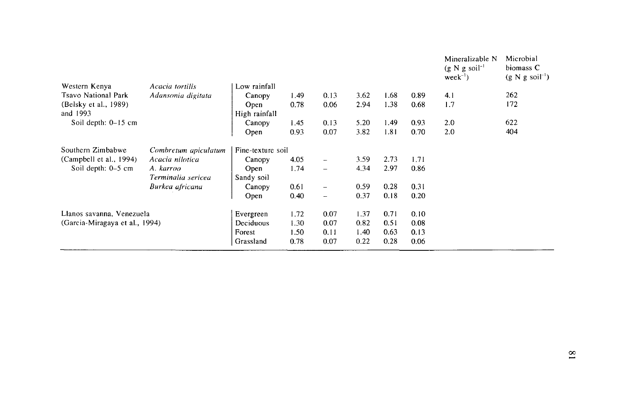|                                |                      |                   |      |                          |      |      |      | Mineralizable N<br>$(g N g soil-1)$<br>$week^{-1}$ | Microbial<br>biomass C<br>$(g N g soil-1)$ |
|--------------------------------|----------------------|-------------------|------|--------------------------|------|------|------|----------------------------------------------------|--------------------------------------------|
| Western Kenya                  | Acacia tortilis      | Low rainfall      |      |                          |      |      |      |                                                    |                                            |
| Tsavo National Park            | Adansonia digitata   | Canopy            | 1.49 | 0.13                     | 3.62 | 1.68 | 0.89 | 4.1                                                | 262                                        |
| (Belsky et al., 1989)          |                      | Open              | 0.78 | 0.06                     | 2.94 | 1.38 | 0.68 | 1.7                                                | 172                                        |
| and 1993                       |                      | High rainfall     |      |                          |      |      |      |                                                    |                                            |
| Soil depth: 0-15 cm            |                      | Canopy            | 1.45 | 0.13                     | 5.20 | 1.49 | 0.93 | 2.0                                                | 622                                        |
|                                |                      | Open              | 0.93 | 0.07                     | 3.82 | 1.81 | 0.70 | 2.0                                                | 404                                        |
| Southern Zimbabwe              | Combretum apiculatum | Fine-texture soil |      |                          |      |      |      |                                                    |                                            |
| (Campbell et al., 1994)        | Acacia nilotica      | Canopy            | 4.05 | $\overline{\phantom{a}}$ | 3.59 | 2.73 | 1.71 |                                                    |                                            |
| Soil depth: 0–5 cm             | A. karroo            | Open              | 1.74 | $\equiv$                 | 4.34 | 2.97 | 0.86 |                                                    |                                            |
|                                | Terminalia sericea   | Sandy soil        |      |                          |      |      |      |                                                    |                                            |
|                                | Burkea africana      | Canopy            | 0.61 | $\overline{\phantom{0}}$ | 0.59 | 0.28 | 0.31 |                                                    |                                            |
|                                |                      | Open              | 0.40 | $\overline{\phantom{m}}$ | 0.37 | 0.18 | 0.20 |                                                    |                                            |
| Llanos savanna, Venezuela      |                      | Evergreen         | 1.72 | 0.07                     | 1.37 | 0.71 | 0.10 |                                                    |                                            |
| (Garcia-Miragaya et al., 1994) |                      | Deciduous         | 1.30 | 0.07                     | 0.82 | 0.51 | 0.08 |                                                    |                                            |
|                                |                      | Forest            | 1.50 | 0.11                     | 1.40 | 0.63 | 0.13 |                                                    |                                            |
|                                |                      | Grassland         | 0.78 | 0.07                     | 0.22 | 0.28 | 0.06 |                                                    |                                            |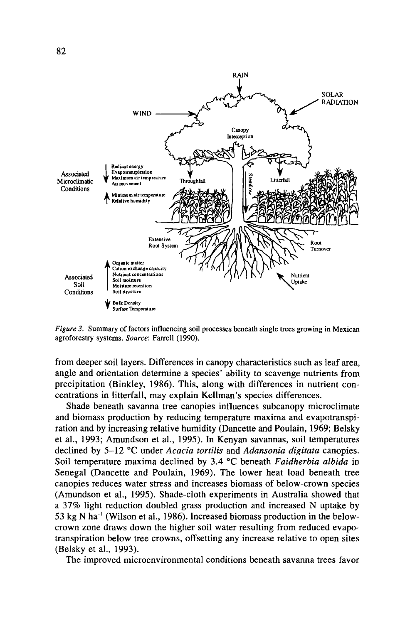

*Figure 3.* Summary of factors influencing soil processes beneath single trees growing in Mexican agroforestry systems. *Source:* Farrell ( 1990).

from deeper soil layers. Differences in canopy characteristics such as leaf area, angle and orientation determine a species' ability to scavenge nutrients from precipitation (Binkley, 1986). This, along with differences in nutrient concentrations in litterfall, may explain Kellman 's species differences.

Shade beneath savanna tree canopies influences subcanopy microclimate and biomass production by reducing temperature maxima and evapotranspiration and by increasing relative humidity (Dancette and Poulain, 1969; Belsky et al., 1993; Amundson et al., 1995). In Kenyan savannas, soil temperatures declined by 5-12 °C under *Acacia tortilis* and *Adansonia digitata* canopies. Soil temperature maxima declined by 3.4 °C beneath *Faidherbia albida* in Senegal (Dancette and Poulain, 1969). The lower heat load beneath tree canopies reduces water stress and increases biomass of below-crown species (Amundson et al., 1995). Shade-cloth experiments in Australia showed that a 37% light reduction doubled grass production and increased N uptake by 53 kg N ha<sup>-1</sup> (Wilson et al., 1986). Increased biomass production in the belowcrown zone draws down the higher soil water resulting from reduced evapotranspiration below tree crowns, offsetting any increase relative to open sites (Belsky et al., 1993).

The improved microenvironmental conditions beneath savanna trees favor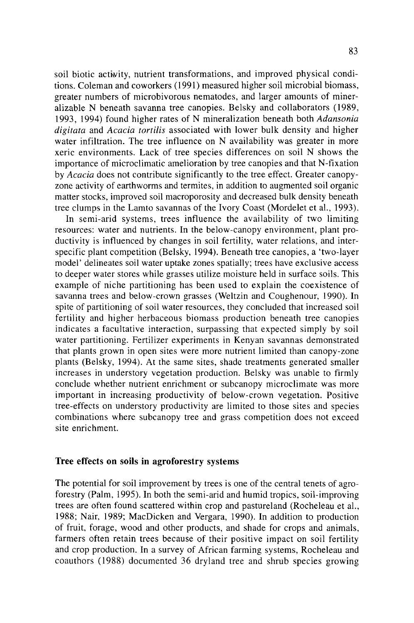soil biotic actiwity, nutrient transformations, and improved physical conditions. Coleman and coworkers (1991) measured higher soil microbial biomass, greater numbers of microbivorous nematodes, and larger amounts of mineralizable N beneath savanna tree canopies. Belsky and collaborators (1989, 1993, 1994) found higher rates of N mineralization beneath both *Adansonia digitata* and *Acacia tortilis* associated with lower bulk density and higher water infiltration. The tree influence on N availability was greater in more xeric environments. Lack of tree species differences on soil N shows the importance of microclimatic amelioration by tree canopies and that N-fixation by *Acacia* does not contribute significantly to the tree effect. Greater canopyzone activity of earthworms and termites, in addition to augmented soil organic matter stocks, improved soil macroporosity and decreased bulk density beneath tree clumps in the Lamto savannas of the Ivory Coast (Mordelet et al., 1993).

In semi-arid systems, trees influence the availability of two limiting resources: water and nutrients. In the below-canopy environment, plant productivity is influenced by changes in soil fertility, water relations, and interspecific plant competition (Belsky, 1994). Beneath tree canopies, a 'two-layer model' delineates soil water uptake zones spatially; trees have exclusive access to deeper water stores while grasses utilize moisture held in surface soils. This example of niche partitioning has been used to explain the coexistence of savanna trees and below-crown grasses (Weltzin and Coughenour, 1990). In spite of partitioning of soil water resources, they concluded that increased soil fertility and higher herbaceous biomass production beneath tree canopies indicates a facultative interaction, surpassing that expected simply by soil water partitioning. Fertilizer experiments in Kenyan savannas demonstrated that plants grown in open sites were more nutrient limited than canopy-zone plants (Belsky, 1994). At the same sites, shade treatments generated smaller increases in understory vegetation production. Belsky was unable to firmly conclude whether nutrient enrichment or subcanopy microclimate was more important in increasing productivity of below-crown vegetation. Positive tree-effects on understory productivity are limited to those sites and species combinations where subcanopy tree and grass competition does not exceed site enrichment.

#### **Tree effects on soils in agroforestry systems**

The potential for soil improvement by trees is one of the central tenets of agroforestry (Palm, 1995). In both the semi-arid and humid tropics, soil-improving trees are often found scattered within crop and pastureland (Rocheleau et al., 1988; Nair, 1989; MacDicken and Vergara, 1990). In addition to production of fruit, forage, wood and other products, and shade for crops and animals, farmers often retain trees because of their positive impact on soil fertility and crop production. In a survey of African farming systems, Rocheleau and coauthors (1988) documented 36 dryland tree and shrub species growing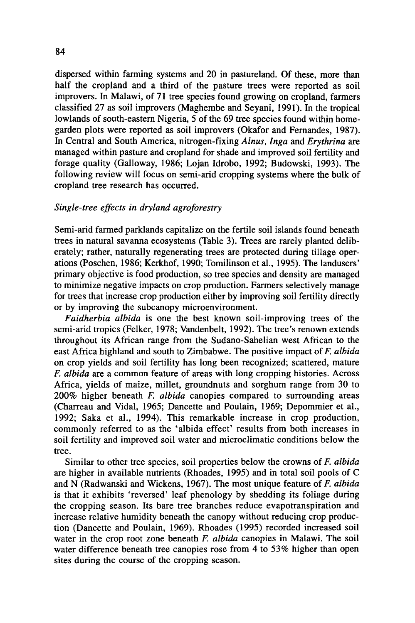dispersed within farming systems and 20 in pastureland. Of these, more than half the cropland and a third of the pasture trees were reported as soil improvers. In Malawi, of 71 tree species found growing on cropland, farmers classified 27 as soil improvers (Maghembe and Seyani, 1991). In the tropical lowlands of south-eastern Nigeria, 5 of the 69 tree species found within homegarden plots were reported as soil improvers (Okafor and Fernandes, 1987). In Central and South America, nitrogen-fixing *Alnus, Inga* and *Erythrina* are managed within pasture and cropland for shade and improved soil fertility and forage quality (Galloway, 1986; Lojan Idrobo, 1992; Budowski, 1993). The following review will focus on semi-arid cropping systems where the bulk of cropland tree research has occurred.

# *Single-tree effects in dry/and agroforestry*

Semi-arid farmed parklands capitalize on the fertile soil islands found beneath trees in natural savanna ecosystems (Table 3). Trees are rarely planted deliberately; rather, naturally regenerating trees are protected during tillage operations (Poschen, 1986; Kerkhof, 1990; Tomilinson et al., 1995). The landusers' primary objective is food production, so tree species and density are managed to minimize negative impacts on crop production. Farmers selectively manage for trees that increase crop production either by improving soil fertility directly or by improving the subcanopy microenvironment.

*Faidherbia albida* is one the best known soil-improving trees of the semi-arid tropics (Felker, 1978; Vandenbelt, 1992). The tree's renown extends throughout its African range from the Sudano-Sahelian west African to the east Africa highland and south to Zimbabwe. The positive impact of *F. albida*  on crop yields and soil fertility has long been recognized; scattered, mature *F. albida* are a common feature of areas with long cropping histories. Across Africa, yields of maize, millet, groundnuts and sorghum range from 30 to 200% higher beneath *F. albida* canopies compared to surrounding areas (Charreau and Vidal, 1965; Dancette and Poulain, 1969; Depommier et al., 1992; Saka et al., 1994). This remarkable increase in crop production, commonly referred to as the 'albida effect' results from both increases in soil fertility and improved soil water and microclimatic conditions below the tree.

Similar to other tree species, soil properties below the crowns of *F. albida*  are higher in available nutrients (Rhoades, 1995) and in total soil pools of C and N (Radwanski and Wickens, 1967). The most unique feature of *F. albida*  is that it exhibits 'reversed' leaf phenology by shedding its foliage during the cropping season. Its bare tree branches reduce evapotranspiration and increase relative humidity beneath the canopy without reducing crop production (Dancette and Poulain, 1969). Rhoades (1995) recorded increased soil water in the crop root zone beneath *F. albida* canopies in Malawi. The soil water difference beneath tree canopies rose from 4 to 53% higher than open sites during the course of the cropping season.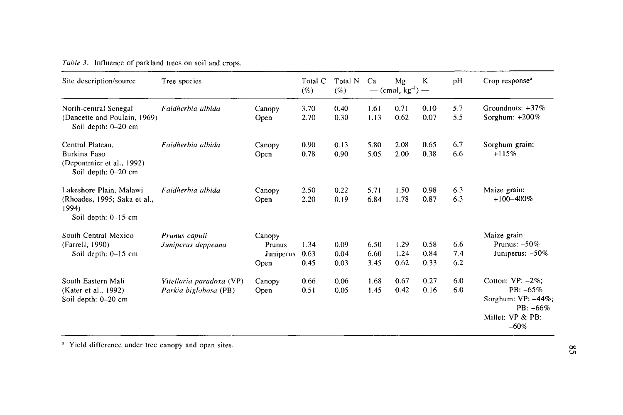| Table 3. Influence of parkland trees on soil and crops. |  |  |  |  |  |  |  |
|---------------------------------------------------------|--|--|--|--|--|--|--|
|---------------------------------------------------------|--|--|--|--|--|--|--|

| Site description/source                                         | Tree species             |           | Total C<br>(%) | Total N<br>(% | Ca   | Mg<br>— $(cmol_c kg^{-1})$ — | K    | pH  | Crop response <sup>3</sup>        |
|-----------------------------------------------------------------|--------------------------|-----------|----------------|---------------|------|------------------------------|------|-----|-----------------------------------|
| North-central Senegal                                           | Faidherbia albida        | Canopy    | 3.70           | 0.40          | 1.61 | 0.71                         | 0.10 | 5.7 | Groundnuts: $+37%$                |
| (Dancette and Poulain, 1969)<br>Soil depth: 0-20 cm             |                          | Open      | 2.70           | 0.30          | 1.13 | 0.62                         | 0.07 | 5.5 | Sorghum: $+200\%$                 |
| Central Plateau.                                                | Faidherbia albida        | Canopy    | 0.90           | 0.13          | 5.80 | 2.08                         | 0.65 | 6.7 | Sorghum grain:                    |
| Burkina Faso<br>(Depommier et al., 1992)<br>Soil depth: 0-20 cm |                          | Open      | 0.78           | 0.90          | 5.05 | 2.00                         | 0.38 | 6.6 | $+115%$                           |
| Lakeshore Plain, Malawi                                         | Faidherbia albida        | Canopy    | 2.50           | 0.22          | 5.71 | 1.50                         | 0.98 | 6.3 | Maize grain:                      |
| (Rhoades, 1995; Saka et al.,<br>1994)<br>Soil depth: 0-15 cm    |                          | Open      | 2.20           | 0.19          | 6.84 | 1.78                         | 0.87 | 6.3 | $+100-400\%$                      |
| South Central Mexico                                            | Prunus capuli            | Canopy    |                |               |      |                              |      |     | Maize grain                       |
| (Farrell, 1990)                                                 | Juniperus deppeana       | Prunus    | 1.34           | 0.09          | 6.50 | 1.29                         | 0.58 | 6.6 | Prunus: $-50\%$                   |
| Soil depth: $0-15$ cm                                           |                          | Juniperus | 0.63           | 0.04          | 6.60 | 1.24                         | 0.84 | 7.4 | Juniperus: $-50\%$                |
|                                                                 |                          | Open      | 0.45           | 0.03          | 3.45 | 0.62                         | 0.33 | 6.2 |                                   |
| South Eastern Mali                                              | Vitellaria paradoxa (VP) | Canopy    | 0.66           | 0.06          | 1.68 | 0.67                         | 0.27 | 6.0 | Cotton: $VP: -2\%$ ;              |
| (Kater et al., 1992)                                            | Parkia biglobosa (PB)    | Open      | 0.51           | 0.05          | 1.45 | 0.42                         | 0.16 | 6.0 | PB: $-65%$                        |
| Soil depth: 0-20 cm                                             |                          |           |                |               |      |                              |      |     | Sorghum: VP: -44%;<br>$PB: -66\%$ |
|                                                                 |                          |           |                |               |      |                              |      |     | Millet: VP & PB:<br>$-60%$        |

 $"$  Yield difference under tree canopy and open sites.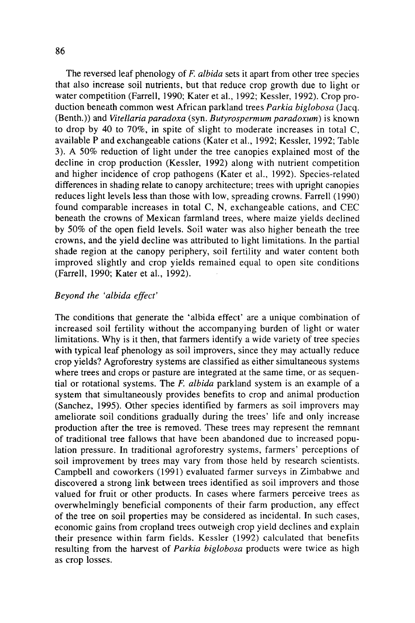The reversed leaf phenology of *F. albida* sets it apart from other tree species that also increase soil nutrients, but that reduce crop growth due to light or water competition (Farrell, 1990; Kater et al., 1992; Kessler, 1992). Crop production beneath common west African parkland trees *Parkia biglobosa* (Jacq. (Benth.)) and *Vitellaria paradoxa* (syn. *Butyrospermum paradoxum)* is known to drop by 40 to 70%, in spite of slight to moderate increases in total C, available P and exchangeable cations (Kater et al., 1992; Kessler, 1992; Table 3). A 50% reduction of light under the tree canopies explained most of the decline in crop production (Kessler, 1992) along with nutrient competition and higher incidence of crop pathogens (Kater et al., 1992). Species-related differences in shading relate to canopy architecture; trees with upright canopies reduces light levels less than those with low, spreading crowns. Farrell (1990) found comparable increases in total C, N, exchangeable cations, and CEC beneath the crowns of Mexican farmland trees, where maize yields declined by 50% of the open field levels. Soil water was also higher beneath the tree crowns, and the yield decline was attributed to light limitations. In the partial shade region at the canopy periphery, soil fertility and water content both improved slightly and crop yields remained equal to open site conditions (Farrell, 1990; Kater et al., 1992).

# *Beyond the 'albida effect'*

The conditions that generate the 'albida effect' are a unique combination of increased soil fertility without the accompanying burden of light or water limitations. Why is it then, that farmers identify a wide variety of tree species with typical leaf phenology as soil improvers, since they may actually reduce crop yields? Agroforestry systems are classified as either simultaneous systems where trees and crops or pasture are integrated at the same time, or as sequential or rotational systems. The *F. albida* parkland system is an example of a system that simultaneously provides benefits to crop and animal production (Sanchez, 1995). Other species identified by farmers as soil improvers may ameliorate soil conditions gradually during the trees' life and only increase production after the tree is removed. These trees may represent the remnant of traditional tree fallows that have been abandoned due to increased population pressure. In traditional agroforestry systems, farmers' perceptions of soil improvement by trees may vary from those held by research scientists. Campbell and coworkers (1991) evaluated farmer surveys in Zimbabwe and discovered a strong link between trees identified as soil improvers and those valued for fruit or other products. In cases where farmers perceive trees as overwhelmingly beneficial components of their farm production, any effect of the tree on soil properties may be considered as incidental. In such cases, economic gains from cropland trees outweigh crop yield declines and explain their presence within farm fields. Kessler (1992) calculated that benefits resulting from the harvest of *Parkia biglobosa* products were twice as high as crop losses.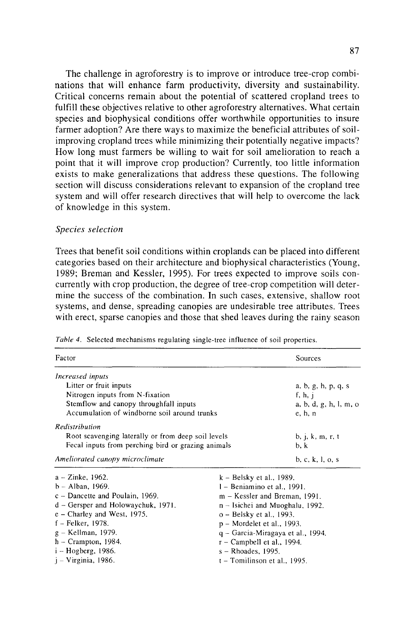The challenge in agroforestry is to improve or introduce tree-crop combinations that will enhance farm productivity, diversity and sustainability. Critical concerns remain about the potential of scattered cropland trees to fulfill these objectives relative to other agroforestry alternatives. What certain species and biophysical conditions offer worthwhile opportunities to insure farmer adoption? Are there ways to maximize the beneficial attributes of soilimproving cropland trees while minimizing their potentially negative impacts? How long must farmers be willing to wait for soil amelioration to reach a point that it will improve crop production? Currently, too little information exists to make generalizations that address these questions. The following section will discuss considerations relevant to expansion of the cropland tree system and will offer research directives that will help to overcome the lack of knowledge in this system.

#### *Species selection*

j - Virginia, 1986.

Trees that benefit soil conditions within croplands can be placed into different categories based on their architecture and biophysical characteristics (Young, 1989; Breman and Kessler, 1995). For trees expected to improve soils concurrently with crop production, the degree of tree-crop competition will determine the success of the combination. In such cases, extensive, shallow root systems, and dense, spreading canopies are undesirable tree attributes. Trees with erect, sparse canopies and those that shed leaves during the rainy season

| Factor                                             | Sources                    |                                   |  |  |  |  |
|----------------------------------------------------|----------------------------|-----------------------------------|--|--|--|--|
| Increased inputs                                   |                            |                                   |  |  |  |  |
| Litter or fruit inputs                             |                            | a, b, g, h, p, q, s               |  |  |  |  |
| Nitrogen inputs from N-fixation                    |                            | f, h, $i$                         |  |  |  |  |
| Stemflow and canopy throughfall inputs             |                            | a, b, d, g, h, l, m, o            |  |  |  |  |
| Accumulation of windborne soil around trunks       | e, h, n                    |                                   |  |  |  |  |
| Redistribution                                     |                            |                                   |  |  |  |  |
| Root scavenging laterally or from deep soil levels | b, j, k, m, r, t           |                                   |  |  |  |  |
| Fecal inputs from perching bird or grazing animals | b, k                       |                                   |  |  |  |  |
| Ameliorated canopy microclimate                    |                            | b, c, k, l, o, s                  |  |  |  |  |
| $a - Z$ inke, 1962.                                | $k - Belsky$ et al., 1989. |                                   |  |  |  |  |
| $b - Alban$ , 1969.                                |                            | $l$ – Beniamino et al., 1991.     |  |  |  |  |
| $c -$ Dancette and Poulain, 1969.                  |                            | m – Kessler and Breman, 1991.     |  |  |  |  |
| $d$ – Gersper and Holowaychuk, 1971.               |                            | n – Isichei and Muoghalu, 1992.   |  |  |  |  |
| $e$ – Charley and West, 1975.                      |                            | o – Belsky et al., 1993.          |  |  |  |  |
| f – Felker, 1978.                                  |                            | p – Mordelet et al., 1993.        |  |  |  |  |
| g – Kellman, 1979.                                 |                            | q – Garcia-Miragaya et al., 1994. |  |  |  |  |
| $h$ – Crampton, 1984.                              |                            | $r -$ Campbell et al., 1994.      |  |  |  |  |
| i – Hogberg, 1986.                                 |                            | s - Rhoades, 1995.                |  |  |  |  |

t - Tomilinson et al., 1995.

*Table 4.* Selected mechanisms regulating single-tree influence of soil properties.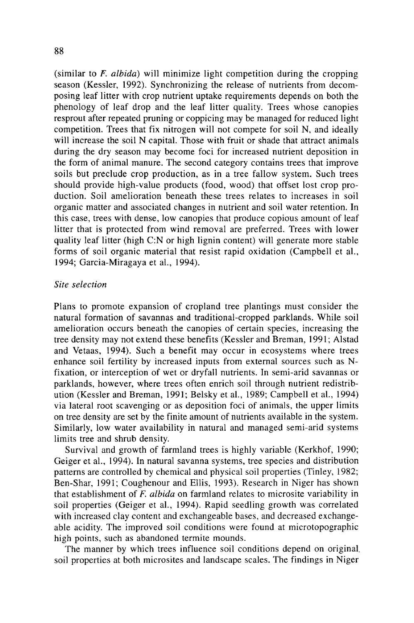(similar to *F. albida)* will minimize light competition during the cropping season (Kessler, 1992). Synchronizing the release of nutrients from decomposing leaf litter with crop nutrient uptake requirements depends on both the phenology of leaf drop and the leaf litter quality. Trees whose canopies resprout after repeated pruning or coppicing may be managed for reduced light competition. Trees that fix nitrogen will not compete for soil N, and ideally will increase the soil N capital. Those with fruit or shade that attract animals during the dry season may become foci for increased nutrient deposition in the form of animal manure. The second category contains trees that improve soils but preclude crop production, as in a tree fallow system. Such trees should provide high-value products (food, wood) that offset lost crop production. Soil amelioration beneath these trees relates to increases in soil organic matter and associated changes in nutrient and soil water retention. In this case, trees with dense, low canopies that produce copious amount of leaf litter that is protected from wind removal are preferred. Trees with lower quality leaf litter (high C:N or high lignin content) will generate more stable forms of soil organic material that resist rapid oxidation (Campbell et al., 1994; Garcia-Miragaya et al., 1994).

#### *Site selection*

Plans to promote expansion of cropland tree plantings must consider the natural formation of savannas and traditional-cropped parklands. While soil amelioration occurs beneath the canopies of certain species, increasing the tree density may not extend these benefits (Kessler and Breman, 1991; Alstad and Vetaas, 1994). Such a benefit may occur in ecosystems where trees enhance soil fertility by increased inputs from external sources such as Nfixation, or interception of wet or dryfall nutrients. In semi-arid savannas or parklands, however, where trees often enrich soil through nutrient redistribution (Kessler and Breman, 1991; Belsky et al., 1989; Campbell et al., 1994) via lateral root scavenging or as deposition foci of animals, the upper limits on tree density are set by the finite amount of nutrients available in the system. Similarly, low water availability in natural and managed semi-arid systems limits tree and shrub density.

Survival and growth of farmland trees is highly variable (Kerkhof, 1990; Geiger et al., 1994). In natural savanna systems, tree species and distribution patterns are controlled by chemical and physical soil properties (Tinley, 1982; Ben-Shar, 1991; Coughenour and Ellis, 1993). Research in Niger has shown that establishment of F. *albida* on farmland relates to microsite variability in soil properties (Geiger et al., 1994). Rapid seedling growth was correlated with increased clay content and exchangeable bases, and decreased exchangeable acidity. The improved soil conditions were found at microtopographic high points, such as abandoned termite mounds.

The manner by which trees influence soil conditions depend on original. soil properties at both microsites and landscape scales. The findings in Niger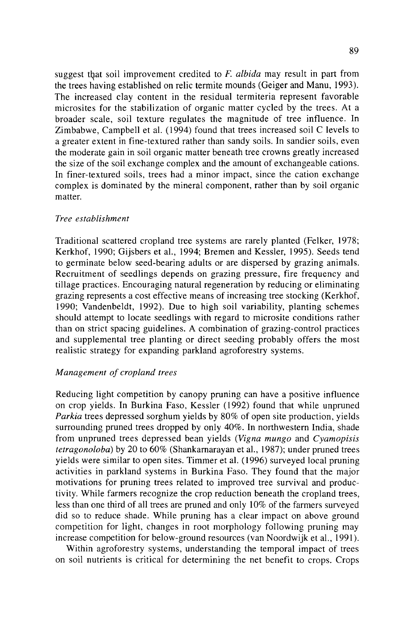suggest that soil improvement credited to F. albida may result in part from the trees having established on relic termite mounds (Geiger and Manu, 1993 ). The increased clay content in the residual termiteria represent favorable microsites for the stabilization of organic matter cycled by the trees. At a broader scale, soil texture regulates the magnitude of tree influence. In Zimbabwe, Campbell et al. ( 1994) found that trees increased soil C levels to a greater extent in fine-textured rather than sandy soils. In sandier soils, even the moderate gain in soil organic matter beneath tree crowns greatly increased the size of the soil exchange complex and the amount of exchangeable cations. In finer-textured soils, trees had a minor impact, since the cation exchange complex is dominated by the mineral component, rather than by soil organic matter.

#### *Tree establishment*

Traditional scattered cropland tree systems are rarely planted (Felker, 1978; Kerkhof, 1990; Gijsbers et al., 1994; Bremen and Kessler, 1995). Seeds tend to germinate below seed-bearing adults or are dispersed by grazing animals. Recruitment of seedlings depends on grazing pressure, fire frequency and tillage practices. Encouraging natural regeneration by reducing or eliminating grazing represents a cost effective means of increasing tree stocking (Kerkhof, 1990; Vandenbeldt, 1992). Due to high soil variability, planting schemes should attempt to locate seedlings with regard to microsite conditions rather than on strict spacing guidelines. A combination of grazing-control practices and supplemental tree planting or direct seeding probably offers the most realistic strategy for expanding parkland agroforestry systems.

#### *Management of cropland trees*

Reducing light competition by canopy pruning can have a positive influence on crop yields. In Burkina Faso, Kessler (1992) found that while unpruned *Parkia* trees depressed sorghum yields by 80% of open site production, yields surrounding pruned trees dropped by only 40%. In northwestern India, shade from unpruned trees depressed bean yields *(Vigna mungo* and *Cyamopisis tetragonoloba)* by 20 to 60% (Shankarnarayan et al., 1987); under pruned trees yields were similar to open sites. Timmer et al. (1996) surveyed local pruning activities in parkland systems in Burkina Faso. They found that the major motivations for pruning trees related to improved tree survival and productivity. While farmers recognize the crop reduction beneath the cropland trees, less than one third of all trees are pruned and only 10% of the farmers surveyed did so to reduce shade. While pruning has a clear impact on above ground competition for light, changes in root morphology following pruning may increase competition for below-ground resources (van Noordwijk et al., 1991 ).

Within agroforestry systems, understanding the temporal impact of trees on soil nutrients is critical for determining the net benefit to crops. Crops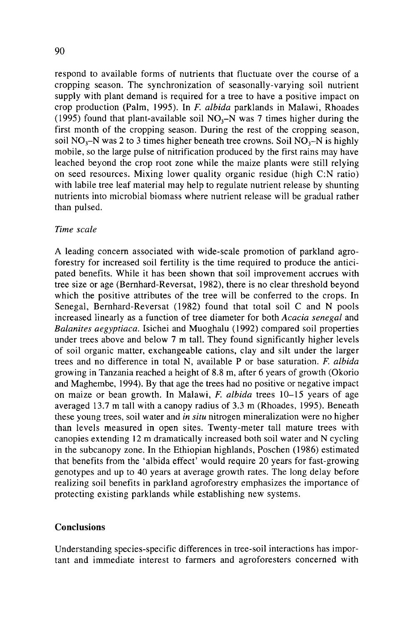respond to available forms of nutrients that fluctuate over the course of a cropping season. The synchronization of seasonally-varying soil nutrient supply with plant demand is required for a tree to have a positive impact on crop production (Palm, 1995). In F. *albida* parklands in Malawi, Rhoades (1995) found that plant-available soil  $NO<sub>3</sub>-N$  was 7 times higher during the first month of the cropping season. During the rest of the cropping season, soil NO<sub>3</sub>-N was 2 to 3 times higher beneath tree crowns. Soil NO<sub>3</sub>-N is highly mobile, so the large pulse of nitrification produced by the first rains may have leached beyond the crop root zone while the maize plants were still relying on seed resources. Mixing lower quality organic residue (high C:N ratio) with labile tree leaf material may help to regulate nutrient release by shunting nutrients into microbial biomass where nutrient release will be gradual rather than pulsed.

#### *Time scale*

A leading concern associated with wide-scale promotion of parkland agroforestry for increased soil fertility is the time required to produce the anticipated benefits. While it has been shown that soil improvement accrues with tree size or age (Bernhard-Reversat, 1982), there is no clear threshold beyond which the positive attributes of the tree will be conferred to the crops. In Senegal, Bernhard-Reversat (1982) found that total soil C and N pools increased linearly as a function of tree diameter for both *Acacia senegal* and *Balanites aegyptiaca.* Isichei and Muoghalu (1992) compared soil properties under trees above and below 7 m tall. They found significantly higher levels of soil organic matter, exchangeable cations, clay and silt under the larger trees and no difference in total N, available P or base saturation. F. *albida*  growing in Tanzania reached a height of 8.8 m, after 6 years of growth (Okorio and Maghembe, 1994). By that age the trees had no positive or negative impact on maize or bean growth. In Malawi, *F. albida* trees 10-15 years of age averaged 13.7 m tall with a canopy radius of 3.3 m (Rhoades, 1995). Beneath these young trees, soil water and *in situ* nitrogen mineralization were no higher than levels measured in open sites. Twenty-meter tall mature trees with canopies extending 12 m dramatically increased both soil water and N cycling in the subcanopy zone. In the Ethiopian highlands, Poschen (1986) estimated that benefits from the 'albida effect' would require 20 years for fast-growing genotypes and up to 40 years at average growth rates. The long delay before realizing soil benefits in parkland agroforestry emphasizes the importance of protecting existing parklands while establishing new systems.

#### **Conclusions**

Understanding species-specific differences in tree-soil interactions has important and immediate interest to farmers and agroforesters concerned with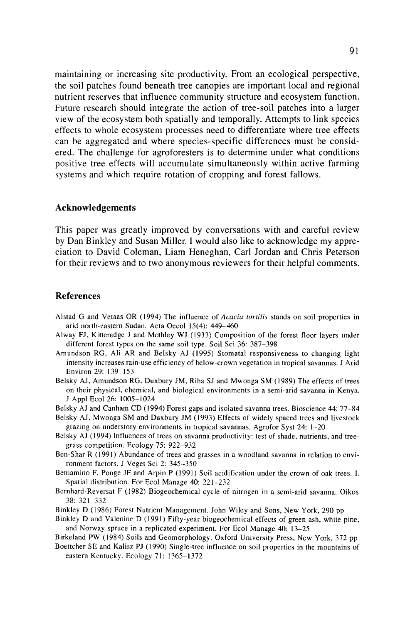maintaining or increasing site productivity. From an ecological perspective, the soil patches found beneath tree canopies are important local and regional nutrient reserves that influence community structure and ecosystem function. Future research should integrate the action of tree-soil patches into a larger view of the ecosystem both spatially and temporally. Attempts to link species effects to whole ecosystem processes need to differentiate where tree effects can be aggregated and where species-specific differences must be considered. The challenge for agroforesters is to determine under what conditions positive tree effects will accumulate simultaneously within active farming systems and which require rotation of cropping and forest fallows.

#### **Acknowledgements**

This paper was greatly improved by conversations with and careful review by Dan Binkley and Susan Miller. I would also like to acknowledge my appreciation to David Coleman, Liam Heneghan, Carl Jordan and Chris Peterson for their reviews and to two anonymous reviewers for their helpful comments.

#### **References**

- Alstad G and Vetaas OR (1994) The influence of *Acacia tortilis* stands on soil properties in arid north-eastern Sudan. Acta Oecol 15(4): 449-460
- Alway FJ, Kitteredge J and Methley WJ (1933) Composition of the forest floor layers under different forest types on the same soil type. Soil Sci 36: 387-398
- Amundson RG, Ali AR and Belsky AJ (1995) Stomata! responsiveness to changing light intensity increases rain-use efficiency of below-crown vegetation in tropical savannas. J Arid Environ 29: 139-153
- Belsky AJ, Amundson RG, Duxbury JM, Riha SJ and Mwonga SM (1989) The effects of trees on their physical, chemical, and biological environments in a semi-arid savanna in Kenya. J Appl Ecol 26: 1005-1024
- Belsky AJ and Canham CD ( 1994) Forest gaps and isolated savanna trees. Bioscience 44: 77-84
- Belsky AJ, Mwonga SM and Duxbury JM (1993) Effects of widely spaced trees and livestock grazing on understory environments in tropical savannas. Agrofor Syst 24: 1-20
- Belsky AJ ( 1994) Influences of trees on savanna productivity: test of shade, nutrients, and treegrass competition. Ecology 75: 922-932
- Ben-Shar R ( 1991) Abundance of trees and grasses in a woodland savanna in relation to environment factors. J Veget Sci 2: 345-350
- Beniamino F, Ponge JF and Arpin P (1991) Soil acidification under the crown of oak trees. I. Spatial distribution. For Ecol Manage 40: 221-232
- Bernhard-Reversal F (1982) Biogeochemical cycle of nitrogen in a semi-arid savanna. Oikos 38: 321-332
- Binkley D ( 1986) Forest Nutrient Management. John Wiley and Sons, New York, 290 pp
- Binkley D and Valenine D (1991) Fifty-year biogeochemical effects of green ash, white pine, and Norway spruce in a replicated experiment. For Ecol Manage 40: 13-25

Birkeland PW (1984) Soils and Geomorphology. Oxford University Press, New York, 372 pp

Boettcher SE and Kalisz PJ (1990) Single-tree influence on soil properties in the mountains of eastern Kentucky. Ecology 71: 1365-1372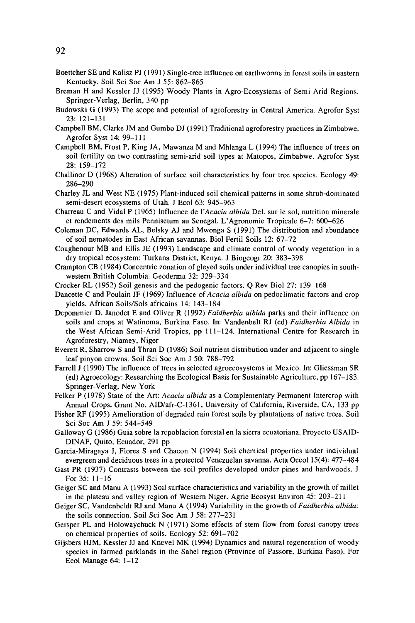- Boettcher SE and Kalisz PJ ( 1991) Single-tree influence on earthworms in forest soils in eastern Kentucky. Soil Sci Soc Am J 55: 862-865
- Breman H and Kessler JJ (1995) Woody Plants in Agro-Ecosystems of Semi-Arid Regions. Springer-Verlag, Berlin, 340 pp
- Budowski G (1993) The scope and potential of agroforestry in Central America. Agrofor Syst 23: 121-131
- Campbell BM, Clarke JM and Gumbo DJ (1991) Traditional agroforestry practices in Zimbabwe. Agrofor Syst 14: 99-111
- Campbell BM, Frost P, King JA, Mawanza M and Mhlanga L ( 1994) The influence of trees on soil fertility on two contrasting semi-arid soil types at Matopos, Zimbabwe. Agrofor Syst 28: 159-172
- Challinor D (1968) Alteration of surface soil characteristics by four tree species. Ecology 49: 286-290
- Charley JL and West NE (1975) Plant-induced soil chemical patterns in some shrub-dominated semi-desert ecosystems of Utah. J Ecol 63: 945-963
- Charreau C and Vidal P (1965) Influence de *!'Acacia albida* Del. sur le sol, nutrition minerale et rendements des mils Pennisetum au Senegal. L' Agronomie Tropicale 6-7: 600-626
- Coleman DC, Edwards AL, Belsky AJ and Mwonga S (1991) The distribution and abundance of soil nematodes in East African savannas. Biol Fertil Soils 12: 67-72
- Coughenour MB and Ellis JE (1993) Landscape and climate control of woody vegetation in a dry tropical ecosystem: Turkana District, Kenya. J Biogeogr 20: 383-398
- Crampton CB ( 1984) Concentric zonation of gleyed soils under individual tree canopies in southwestern British Columbia. Geoderma 32: 329-334
- Crocker RL (1952) Soil genesis and the pedogenic factors. Q Rev Biol 27: 139-168
- Dancette C and Poulain JF (1969) Influence of *Acacia a/bida* on pedoclimatic factors and crop yields. African Soils/Sols africains 14: 143-184
- Depommier D, Janodet E and Oliver R (1992) *Faidherbia a/bida* parks and their influence on soils and crops at Watinoma, Burkina Faso. In: Vandenbelt RJ (ed) *Faidherbia Albida* in the West African Semi-Arid Tropics, pp 111-124. International Centre for Research in Agroforestry, Niamey, Niger
- Everett R, Sharrow Sand Thran D (1986) Soil nutrient distribution under and adjacent to single leaf pinyon crowns. Soil Sci Soc Am J 50: 788-792
- Farrell J (1990) The influence of trees in selected agroecosystems in Mexico. In: Gliessman SR (ed) Agroecology: Researching the Ecological Basis for Sustainable Agriculture, pp 167-183. Springer-Verlag, New York
- Felker P (1978) State of the Art: *Acacia albida* as a Complementary Permanent Intercrop with Annual Crops. Grant No. AID/afr-C-1361, University of California, Riverside, CA, 133 pp
- Fisher RF (1995) Amelioration of degraded rain forest soils by plantations of native trees. Soil Sci Soc Am J 59: 544-549
- Galloway G ( 1986) Guia sobre la repoblacion forestal en la sierra ecuatoriana. Proyecto USAID-DINAF, Quito, Ecuador, 291 pp
- Garcia-Miragaya J, Flores S and Chacon N (1994) Soil chemical properties under individual evergreen and deciduous trees in a protected Venezuelan savanna. Acta Oecol 15(4): 477-484
- Gast PR (1937) Contrasts between the soil profiles developed under pines and hardwoods. J For 35: 11-16
- Geiger SC and Manu A ( 1993) Soil surface characteristics and variability in the growth of millet in the plateau and valley region of Western Niger. Agric Ecosyst Environ 45: 203-211
- Geiger SC, Vandenbeldt RJ and Manu A (1994) Variability in the growth of *Faidherbia a/bida:*  the soils connection. Soil Sci Soc Am J 58: 277-231
- Gersper PL and Holowaychuck N (1971) Some effects of stem flow from forest canopy trees on chemical properties of soils. Ecology 52: 691-702
- Gijsbers HJM, Kessler JJ and Knevel MK (1994) Dynamics and natural regeneration of woody species in farmed parklands in the Sahel region (Province of Passore, Burkina Faso). For Ecol Manage 64: 1-12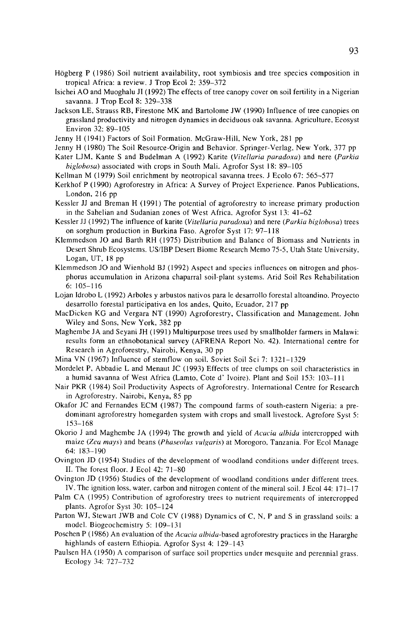- Hogberg P ( 1986) Soil nutrient availability, root symbiosis and tree species composition in tropical Africa: a review. J Trop Ecol 2: 359-372
- Isichei AO and Muoghalu JI (1992) The effects of tree canopy cover on soil fertility in a Nigerian savanna. J Trop Ecol 8: 329-338
- Jackson LE, Strauss RB, Firestone MK and Bartolome JW ( 1990) Influence of tree canopies on grassland productivity and nitrogen dynamics in deciduous oak savanna. Agriculture, Ecosyst Environ 32: 89-105
- Jenny H (1941) Factors of Soil Formation. McGraw-Hill, New York, 281 pp
- Jenny H (1980) The Soil Resource-Origin and Behavior. Springer-Verlag, New York, 377 pp
- Kater LJM, Kante S and Budelman A (1992) Karite *(Vitellaria paradoxa)* and nere *(Parkia higlohosa)* associated with crops in South Mali. Agrofor Syst 18: 89-105
- Kellman M (1979) Soil enrichment by neotropical savanna trees. J Ecolo 67: 565-577
- Kerkhof P ( 1990) Agroforestry in Africa: A Survey of Project Experience. Panos Publications, London, 216 pp
- Kessler JJ and Breman H ( 1991) The potential of agroforestry to increase primary production in the Sahelian and Sudanian zones of West Africa. Agrofor Syst 13: 41-62
- Kessler JJ (1992) The influence of karite *(Vitellaria paradoxa)* and nere *(Parkia higlohosa)* trees on sorghum production in Burkina Faso. Agrofor Syst 17: 97-118
- Klemmedson JO and Barth RH (1975) Distribution and Balance of Biomass and Nutrients in Desert Shrub Ecosystems. US/IBP Desert Biome Research Memo 75-5, Utah State University, Logan, UT, 18 pp
- Klemmedson JO and Wienhold BJ (1992) Aspect and species influences on nitrogen and phosphorus accumulation in Arizona chaparral soil-plant systems. Arid Soil Res Rehabilitation 6: 105-116
- Lojan Idrobo L (1992) Arboles y arbustos nativos para le desarrollo forestal altoandino. Proyecto desarrollo forestal participativa en los andes, Quito, Ecuador, 217 pp
- Macbicken KG and Vergara NT (1990) Agroforestry, Classification and Management. John Wiley and Sons, New York, 382 pp
- Maghembe JA and Seyani JH ( 1991) Multipurpose trees used by smallholder farmers in Malawi: results form an ethnobotanical survey (AFRENA Report No. 42). International centre for Research in Agroforestry, Nairobi, Kenya, 30 pp
- Mina VN (1967) Influence of stemflow on soil. Soviet Soil Sci 7: 1321-1329
- Mordelet P, Abbadie L and Menaut JC (1993) Effects of tree clumps on soil characteristics in a humid savanna of West Africa (Lamto, Coted' Ivoire). Plant and Soil 153: 103-111
- Nair PKR (1984) Soil Productivity Aspects of Agroforestry. International Centre for Research in Agroforestry. Nairobi, Kenya, 85 pp
- Okafor JC and Fernandes ECM (1987) The compound farms of south-eastern Nigeria: a predominant agroforestry homegarden system with crops and small livestock. Agrofore Syst 5: 153-168
- Okorio J and Maghembe JA ( 1994) The growth and yield of *Acacia alhida* intercropped with maize *(Zea mays)* and beans *(Phaseolus vulgaris)* at Morogoro, Tanzania. For Ecol Manage 64: 183-190
- Ovington JD (1954) Studies of the development of woodland conditions under different trees. II. The forest floor. J Ecol 42: 71-80
- Ovington JD (1956) Studies of the development of woodland conditions under different trees. IV. The ignition loss, water, carbon and nitrogen content of the mineral soil. J Ecol 44: 171-17
- Palm CA (1995) Contribution of agroforestry trees to nutrient requirements of intercropped plants. Agrofor Syst 30: 105-124
- Parton WJ, Stewart JWB and Cole CV (1988) Dynamics of C, N, P and S in grassland soils: a model. Biogeochemistry 5: 109-131
- Poschen P ( 1986) An evaluation of the *Acacia alhida-based* agroforestry practices in the Hararghe highlands of eastern Ethiopia. Agrofor Syst 4: 129-143
- Paulsen HA (1950) A comparison of surface soil properties under mesquite and perennial grass. Ecology 34: 727-732